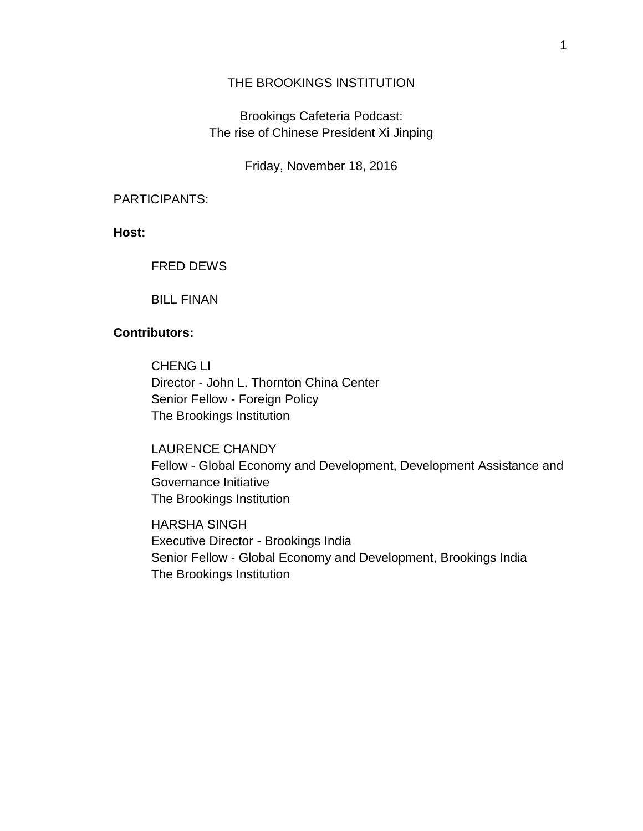## THE BROOKINGS INSTITUTION

Brookings Cafeteria Podcast: The rise of Chinese President Xi Jinping

Friday, November 18, 2016

## PARTICIPANTS:

**Host:**

## FRED DEWS

BILL FINAN

## **Contributors:**

CHENG LI Director - John L. Thornton China Center Senior Fellow - Foreign Policy The Brookings Institution

LAURENCE CHANDY Fellow - Global Economy and Development, Development Assistance and Governance Initiative The Brookings Institution

HARSHA SINGH Executive Director - Brookings India Senior Fellow - Global Economy and Development, Brookings India The Brookings Institution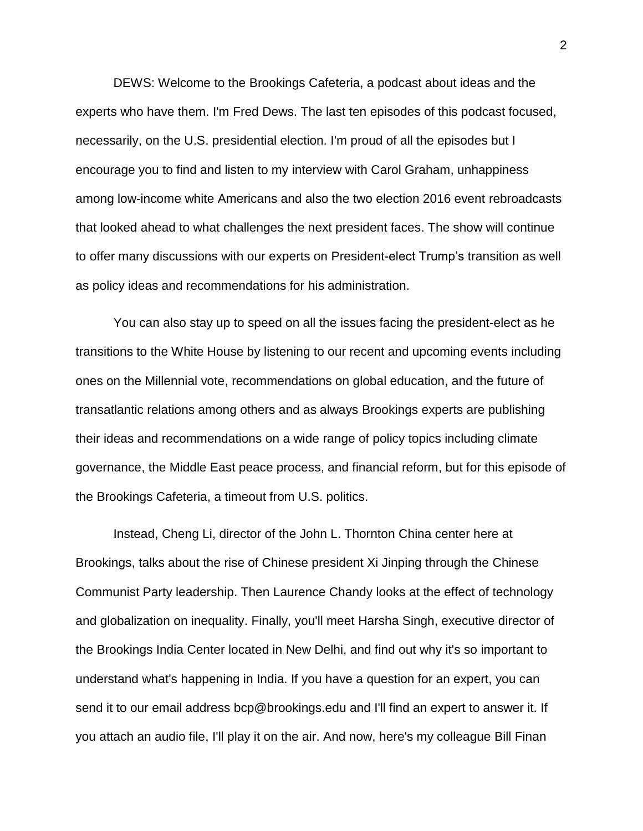DEWS: Welcome to the Brookings Cafeteria, a podcast about ideas and the experts who have them. I'm Fred Dews. The last ten episodes of this podcast focused, necessarily, on the U.S. presidential election. I'm proud of all the episodes but I encourage you to find and listen to my interview with Carol Graham, unhappiness among low-income white Americans and also the two election 2016 event rebroadcasts that looked ahead to what challenges the next president faces. The show will continue to offer many discussions with our experts on President-elect Trump's transition as well as policy ideas and recommendations for his administration.

You can also stay up to speed on all the issues facing the president-elect as he transitions to the White House by listening to our recent and upcoming events including ones on the Millennial vote, recommendations on global education, and the future of transatlantic relations among others and as always Brookings experts are publishing their ideas and recommendations on a wide range of policy topics including climate governance, the Middle East peace process, and financial reform, but for this episode of the Brookings Cafeteria, a timeout from U.S. politics.

Instead, Cheng Li, director of the John L. Thornton China center here at Brookings, talks about the rise of Chinese president Xi Jinping through the Chinese Communist Party leadership. Then Laurence Chandy looks at the effect of technology and globalization on inequality. Finally, you'll meet Harsha Singh, executive director of the Brookings India Center located in New Delhi, and find out why it's so important to understand what's happening in India. If you have a question for an expert, you can send it to our email address bcp@brookings.edu and I'll find an expert to answer it. If you attach an audio file, I'll play it on the air. And now, here's my colleague Bill Finan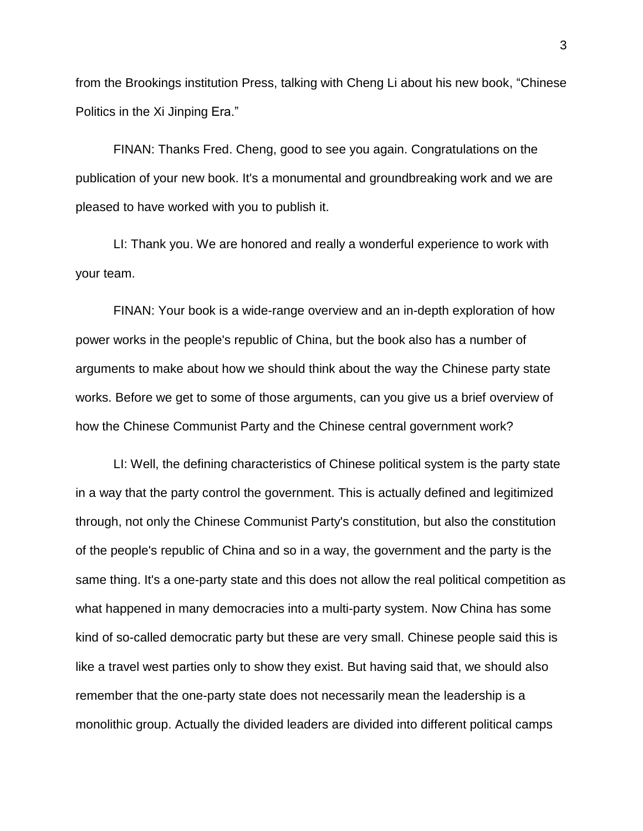from the Brookings institution Press, talking with Cheng Li about his new book, "Chinese Politics in the Xi Jinping Era."

FINAN: Thanks Fred. Cheng, good to see you again. Congratulations on the publication of your new book. It's a monumental and groundbreaking work and we are pleased to have worked with you to publish it.

LI: Thank you. We are honored and really a wonderful experience to work with your team.

FINAN: Your book is a wide-range overview and an in-depth exploration of how power works in the people's republic of China, but the book also has a number of arguments to make about how we should think about the way the Chinese party state works. Before we get to some of those arguments, can you give us a brief overview of how the Chinese Communist Party and the Chinese central government work?

LI: Well, the defining characteristics of Chinese political system is the party state in a way that the party control the government. This is actually defined and legitimized through, not only the Chinese Communist Party's constitution, but also the constitution of the people's republic of China and so in a way, the government and the party is the same thing. It's a one-party state and this does not allow the real political competition as what happened in many democracies into a multi-party system. Now China has some kind of so-called democratic party but these are very small. Chinese people said this is like a travel west parties only to show they exist. But having said that, we should also remember that the one-party state does not necessarily mean the leadership is a monolithic group. Actually the divided leaders are divided into different political camps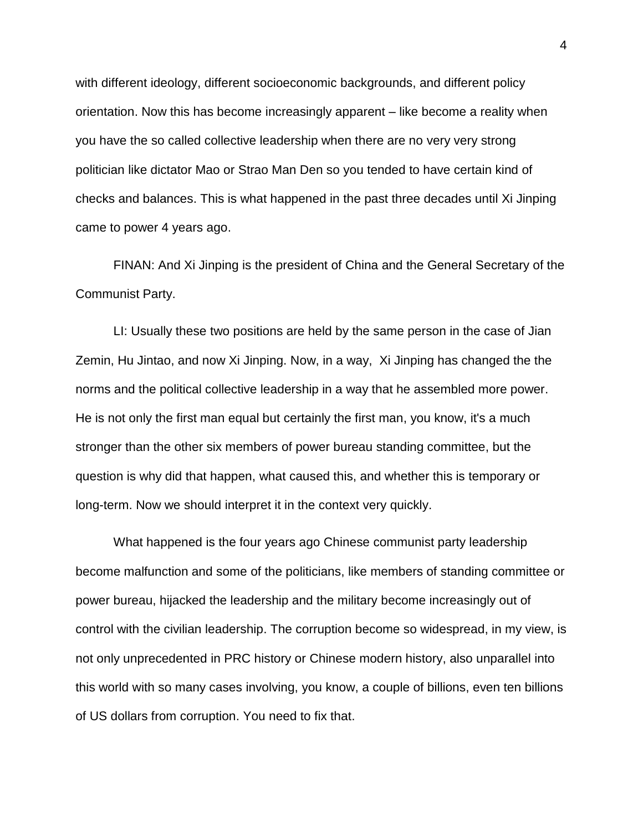with different ideology, different socioeconomic backgrounds, and different policy orientation. Now this has become increasingly apparent – like become a reality when you have the so called collective leadership when there are no very very strong politician like dictator Mao or Strao Man Den so you tended to have certain kind of checks and balances. This is what happened in the past three decades until Xi Jinping came to power 4 years ago.

FINAN: And Xi Jinping is the president of China and the General Secretary of the Communist Party.

LI: Usually these two positions are held by the same person in the case of Jian Zemin, Hu Jintao, and now Xi Jinping. Now, in a way, Xi Jinping has changed the the norms and the political collective leadership in a way that he assembled more power. He is not only the first man equal but certainly the first man, you know, it's a much stronger than the other six members of power bureau standing committee, but the question is why did that happen, what caused this, and whether this is temporary or long-term. Now we should interpret it in the context very quickly.

What happened is the four years ago Chinese communist party leadership become malfunction and some of the politicians, like members of standing committee or power bureau, hijacked the leadership and the military become increasingly out of control with the civilian leadership. The corruption become so widespread, in my view, is not only unprecedented in PRC history or Chinese modern history, also unparallel into this world with so many cases involving, you know, a couple of billions, even ten billions of US dollars from corruption. You need to fix that.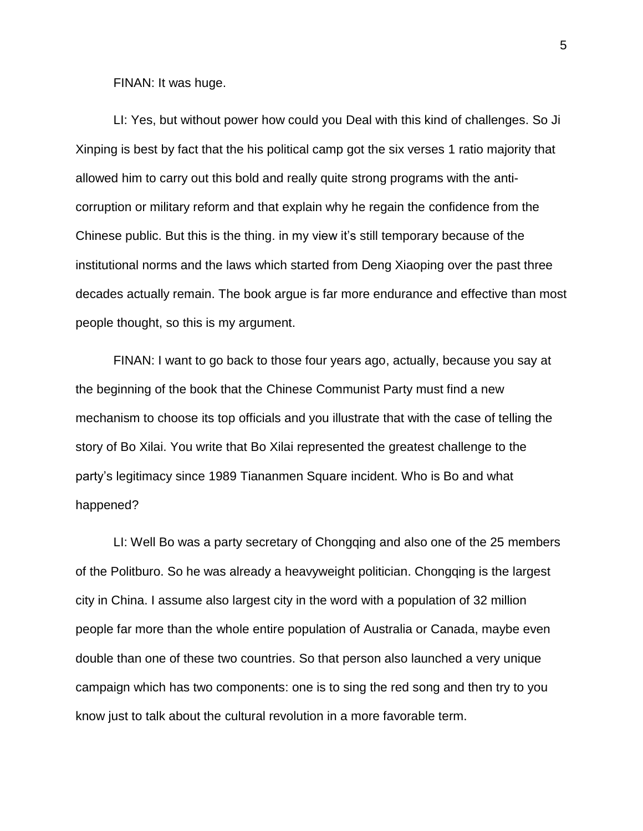FINAN: It was huge.

LI: Yes, but without power how could you Deal with this kind of challenges. So Ji Xinping is best by fact that the his political camp got the six verses 1 ratio majority that allowed him to carry out this bold and really quite strong programs with the anticorruption or military reform and that explain why he regain the confidence from the Chinese public. But this is the thing. in my view it's still temporary because of the institutional norms and the laws which started from Deng Xiaoping over the past three decades actually remain. The book argue is far more endurance and effective than most people thought, so this is my argument.

FINAN: I want to go back to those four years ago, actually, because you say at the beginning of the book that the Chinese Communist Party must find a new mechanism to choose its top officials and you illustrate that with the case of telling the story of Bo Xilai. You write that Bo Xilai represented the greatest challenge to the party's legitimacy since 1989 Tiananmen Square incident. Who is Bo and what happened?

LI: Well Bo was a party secretary of Chongqing and also one of the 25 members of the Politburo. So he was already a heavyweight politician. Chongqing is the largest city in China. I assume also largest city in the word with a population of 32 million people far more than the whole entire population of Australia or Canada, maybe even double than one of these two countries. So that person also launched a very unique campaign which has two components: one is to sing the red song and then try to you know just to talk about the cultural revolution in a more favorable term.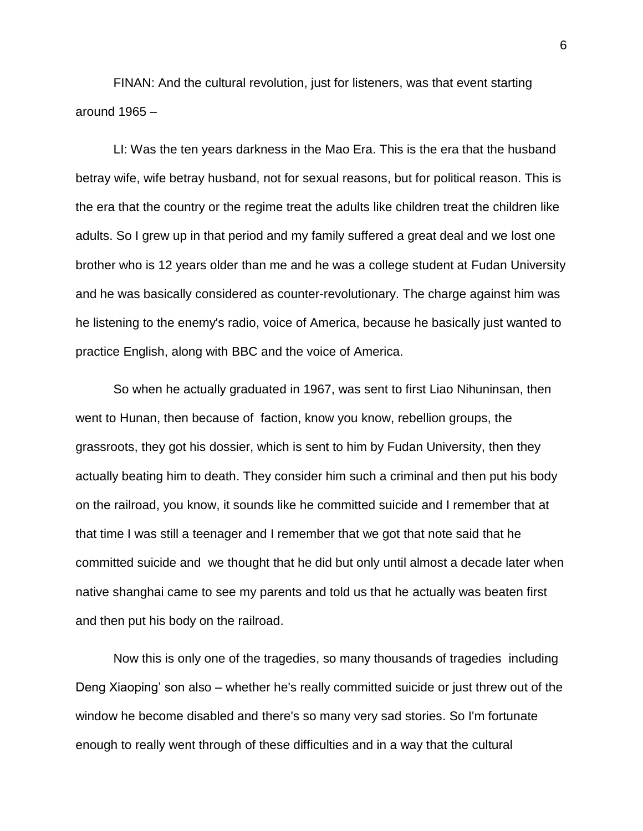FINAN: And the cultural revolution, just for listeners, was that event starting around 1965 –

LI: Was the ten years darkness in the Mao Era. This is the era that the husband betray wife, wife betray husband, not for sexual reasons, but for political reason. This is the era that the country or the regime treat the adults like children treat the children like adults. So I grew up in that period and my family suffered a great deal and we lost one brother who is 12 years older than me and he was a college student at Fudan University and he was basically considered as counter-revolutionary. The charge against him was he listening to the enemy's radio, voice of America, because he basically just wanted to practice English, along with BBC and the voice of America.

So when he actually graduated in 1967, was sent to first Liao Nihuninsan, then went to Hunan, then because of faction, know you know, rebellion groups, the grassroots, they got his dossier, which is sent to him by Fudan University, then they actually beating him to death. They consider him such a criminal and then put his body on the railroad, you know, it sounds like he committed suicide and I remember that at that time I was still a teenager and I remember that we got that note said that he committed suicide and we thought that he did but only until almost a decade later when native shanghai came to see my parents and told us that he actually was beaten first and then put his body on the railroad.

Now this is only one of the tragedies, so many thousands of tragedies including Deng Xiaoping' son also – whether he's really committed suicide or just threw out of the window he become disabled and there's so many very sad stories. So I'm fortunate enough to really went through of these difficulties and in a way that the cultural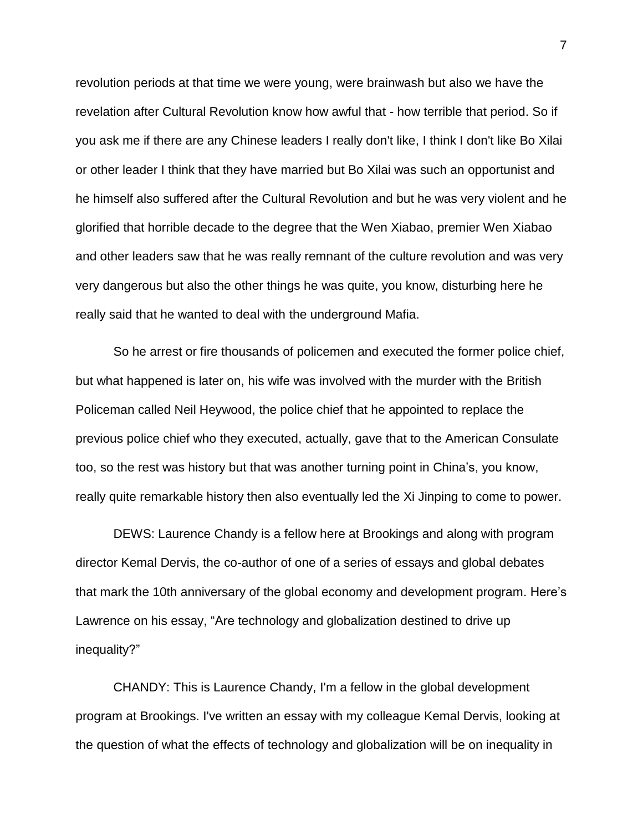revolution periods at that time we were young, were brainwash but also we have the revelation after Cultural Revolution know how awful that - how terrible that period. So if you ask me if there are any Chinese leaders I really don't like, I think I don't like Bo Xilai or other leader I think that they have married but Bo Xilai was such an opportunist and he himself also suffered after the Cultural Revolution and but he was very violent and he glorified that horrible decade to the degree that the Wen Xiabao, premier Wen Xiabao and other leaders saw that he was really remnant of the culture revolution and was very very dangerous but also the other things he was quite, you know, disturbing here he really said that he wanted to deal with the underground Mafia.

So he arrest or fire thousands of policemen and executed the former police chief, but what happened is later on, his wife was involved with the murder with the British Policeman called Neil Heywood, the police chief that he appointed to replace the previous police chief who they executed, actually, gave that to the American Consulate too, so the rest was history but that was another turning point in China's, you know, really quite remarkable history then also eventually led the Xi Jinping to come to power.

DEWS: Laurence Chandy is a fellow here at Brookings and along with program director Kemal Dervis, the co-author of one of a series of essays and global debates that mark the 10th anniversary of the global economy and development program. Here's Lawrence on his essay, "Are technology and globalization destined to drive up inequality?"

CHANDY: This is Laurence Chandy, I'm a fellow in the global development program at Brookings. I've written an essay with my colleague Kemal Dervis, looking at the question of what the effects of technology and globalization will be on inequality in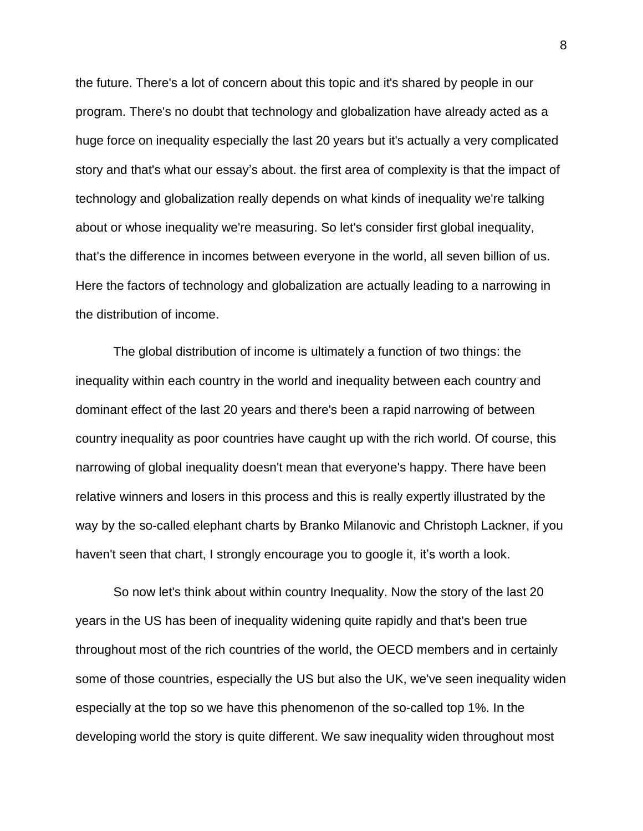the future. There's a lot of concern about this topic and it's shared by people in our program. There's no doubt that technology and globalization have already acted as a huge force on inequality especially the last 20 years but it's actually a very complicated story and that's what our essay's about. the first area of complexity is that the impact of technology and globalization really depends on what kinds of inequality we're talking about or whose inequality we're measuring. So let's consider first global inequality, that's the difference in incomes between everyone in the world, all seven billion of us. Here the factors of technology and globalization are actually leading to a narrowing in the distribution of income.

The global distribution of income is ultimately a function of two things: the inequality within each country in the world and inequality between each country and dominant effect of the last 20 years and there's been a rapid narrowing of between country inequality as poor countries have caught up with the rich world. Of course, this narrowing of global inequality doesn't mean that everyone's happy. There have been relative winners and losers in this process and this is really expertly illustrated by the way by the so-called elephant charts by Branko Milanovic and Christoph Lackner, if you haven't seen that chart, I strongly encourage you to google it, it's worth a look.

So now let's think about within country Inequality. Now the story of the last 20 years in the US has been of inequality widening quite rapidly and that's been true throughout most of the rich countries of the world, the OECD members and in certainly some of those countries, especially the US but also the UK, we've seen inequality widen especially at the top so we have this phenomenon of the so-called top 1%. In the developing world the story is quite different. We saw inequality widen throughout most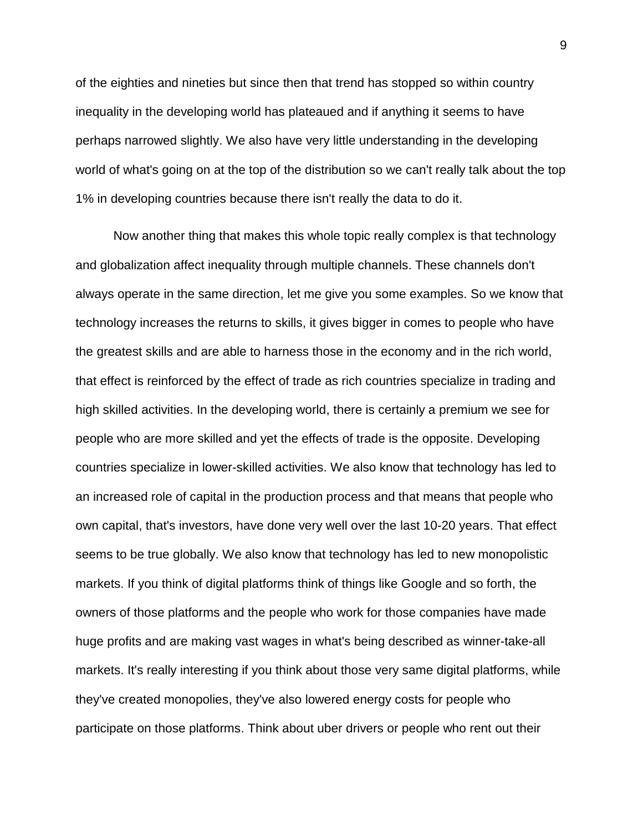of the eighties and nineties but since then that trend has stopped so within country inequality in the developing world has plateaued and if anything it seems to have perhaps narrowed slightly. We also have very little understanding in the developing world of what's going on at the top of the distribution so we can't really talk about the top 1% in developing countries because there isn't really the data to do it.

Now another thing that makes this whole topic really complex is that technology and globalization affect inequality through multiple channels. These channels don't always operate in the same direction, let me give you some examples. So we know that technology increases the returns to skills, it gives bigger in comes to people who have the greatest skills and are able to harness those in the economy and in the rich world, that effect is reinforced by the effect of trade as rich countries specialize in trading and high skilled activities. In the developing world, there is certainly a premium we see for people who are more skilled and yet the effects of trade is the opposite. Developing countries specialize in lower-skilled activities. We also know that technology has led to an increased role of capital in the production process and that means that people who own capital, that's investors, have done very well over the last 10-20 years. That effect seems to be true globally. We also know that technology has led to new monopolistic markets. If you think of digital platforms think of things like Google and so forth, the owners of those platforms and the people who work for those companies have made huge profits and are making vast wages in what's being described as winner-take-all markets. It's really interesting if you think about those very same digital platforms, while they've created monopolies, they've also lowered energy costs for people who participate on those platforms. Think about uber drivers or people who rent out their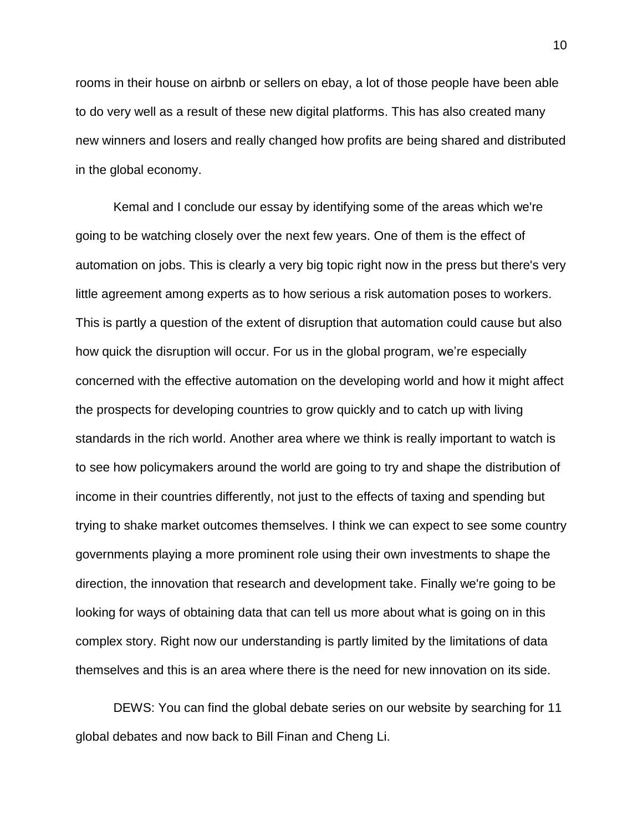rooms in their house on airbnb or sellers on ebay, a lot of those people have been able to do very well as a result of these new digital platforms. This has also created many new winners and losers and really changed how profits are being shared and distributed in the global economy.

Kemal and I conclude our essay by identifying some of the areas which we're going to be watching closely over the next few years. One of them is the effect of automation on jobs. This is clearly a very big topic right now in the press but there's very little agreement among experts as to how serious a risk automation poses to workers. This is partly a question of the extent of disruption that automation could cause but also how quick the disruption will occur. For us in the global program, we're especially concerned with the effective automation on the developing world and how it might affect the prospects for developing countries to grow quickly and to catch up with living standards in the rich world. Another area where we think is really important to watch is to see how policymakers around the world are going to try and shape the distribution of income in their countries differently, not just to the effects of taxing and spending but trying to shake market outcomes themselves. I think we can expect to see some country governments playing a more prominent role using their own investments to shape the direction, the innovation that research and development take. Finally we're going to be looking for ways of obtaining data that can tell us more about what is going on in this complex story. Right now our understanding is partly limited by the limitations of data themselves and this is an area where there is the need for new innovation on its side.

DEWS: You can find the global debate series on our website by searching for 11 global debates and now back to Bill Finan and Cheng Li.

10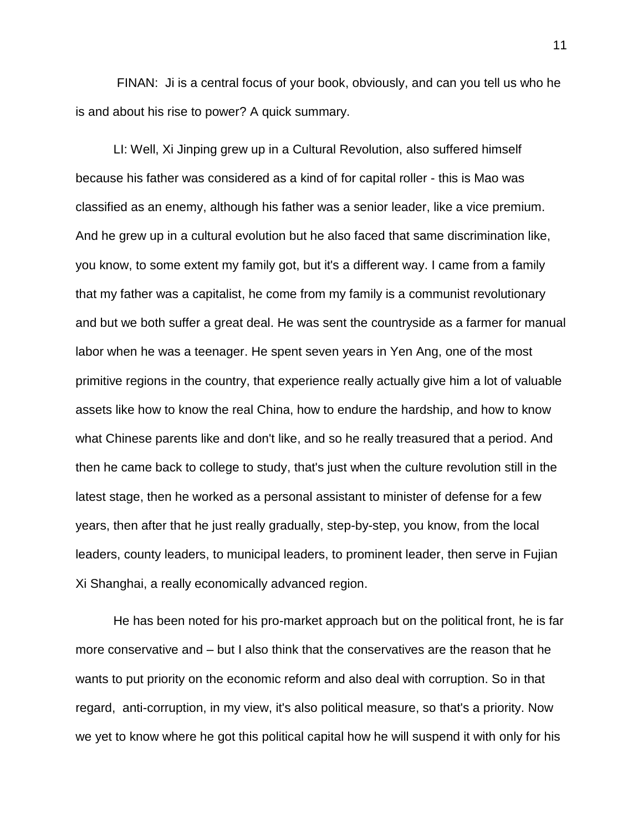FINAN: Ji is a central focus of your book, obviously, and can you tell us who he is and about his rise to power? A quick summary.

LI: Well, Xi Jinping grew up in a Cultural Revolution, also suffered himself because his father was considered as a kind of for capital roller - this is Mao was classified as an enemy, although his father was a senior leader, like a vice premium. And he grew up in a cultural evolution but he also faced that same discrimination like, you know, to some extent my family got, but it's a different way. I came from a family that my father was a capitalist, he come from my family is a communist revolutionary and but we both suffer a great deal. He was sent the countryside as a farmer for manual labor when he was a teenager. He spent seven years in Yen Ang, one of the most primitive regions in the country, that experience really actually give him a lot of valuable assets like how to know the real China, how to endure the hardship, and how to know what Chinese parents like and don't like, and so he really treasured that a period. And then he came back to college to study, that's just when the culture revolution still in the latest stage, then he worked as a personal assistant to minister of defense for a few years, then after that he just really gradually, step-by-step, you know, from the local leaders, county leaders, to municipal leaders, to prominent leader, then serve in Fujian Xi Shanghai, a really economically advanced region.

He has been noted for his pro-market approach but on the political front, he is far more conservative and – but I also think that the conservatives are the reason that he wants to put priority on the economic reform and also deal with corruption. So in that regard, anti-corruption, in my view, it's also political measure, so that's a priority. Now we yet to know where he got this political capital how he will suspend it with only for his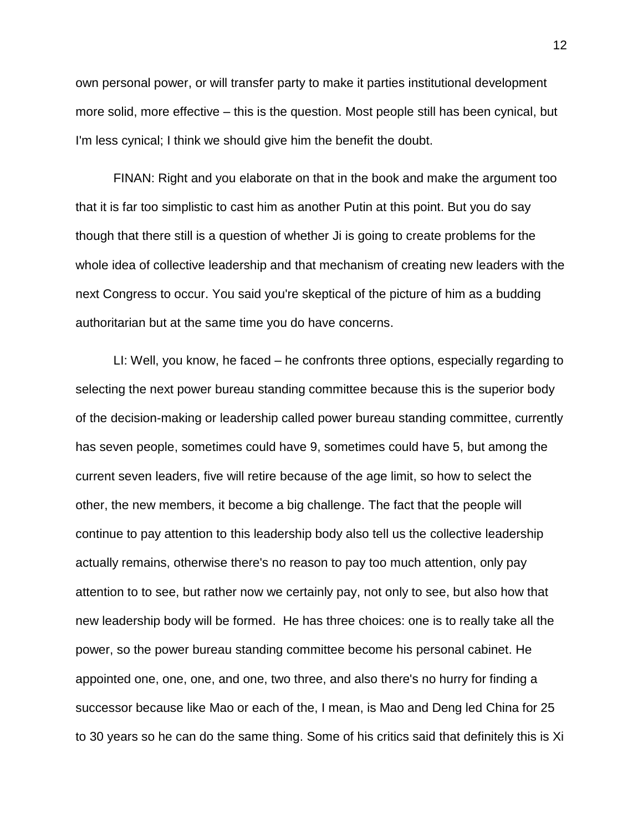own personal power, or will transfer party to make it parties institutional development more solid, more effective – this is the question. Most people still has been cynical, but I'm less cynical; I think we should give him the benefit the doubt.

FINAN: Right and you elaborate on that in the book and make the argument too that it is far too simplistic to cast him as another Putin at this point. But you do say though that there still is a question of whether Ji is going to create problems for the whole idea of collective leadership and that mechanism of creating new leaders with the next Congress to occur. You said you're skeptical of the picture of him as a budding authoritarian but at the same time you do have concerns.

LI: Well, you know, he faced – he confronts three options, especially regarding to selecting the next power bureau standing committee because this is the superior body of the decision-making or leadership called power bureau standing committee, currently has seven people, sometimes could have 9, sometimes could have 5, but among the current seven leaders, five will retire because of the age limit, so how to select the other, the new members, it become a big challenge. The fact that the people will continue to pay attention to this leadership body also tell us the collective leadership actually remains, otherwise there's no reason to pay too much attention, only pay attention to to see, but rather now we certainly pay, not only to see, but also how that new leadership body will be formed. He has three choices: one is to really take all the power, so the power bureau standing committee become his personal cabinet. He appointed one, one, one, and one, two three, and also there's no hurry for finding a successor because like Mao or each of the, I mean, is Mao and Deng led China for 25 to 30 years so he can do the same thing. Some of his critics said that definitely this is Xi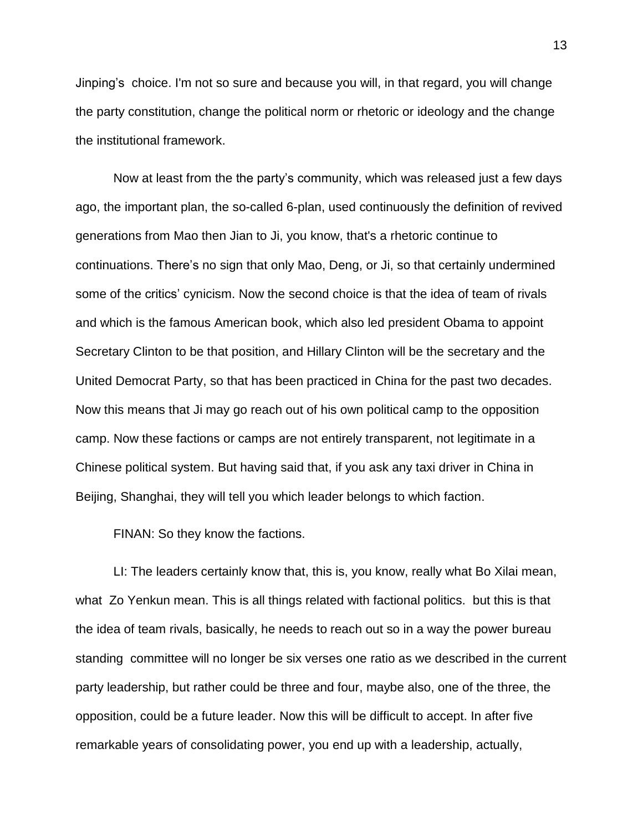Jinping's choice. I'm not so sure and because you will, in that regard, you will change the party constitution, change the political norm or rhetoric or ideology and the change the institutional framework.

Now at least from the the party's community, which was released just a few days ago, the important plan, the so-called 6-plan, used continuously the definition of revived generations from Mao then Jian to Ji, you know, that's a rhetoric continue to continuations. There's no sign that only Mao, Deng, or Ji, so that certainly undermined some of the critics' cynicism. Now the second choice is that the idea of team of rivals and which is the famous American book, which also led president Obama to appoint Secretary Clinton to be that position, and Hillary Clinton will be the secretary and the United Democrat Party, so that has been practiced in China for the past two decades. Now this means that Ji may go reach out of his own political camp to the opposition camp. Now these factions or camps are not entirely transparent, not legitimate in a Chinese political system. But having said that, if you ask any taxi driver in China in Beijing, Shanghai, they will tell you which leader belongs to which faction.

FINAN: So they know the factions.

LI: The leaders certainly know that, this is, you know, really what Bo Xilai mean, what Zo Yenkun mean. This is all things related with factional politics. but this is that the idea of team rivals, basically, he needs to reach out so in a way the power bureau standing committee will no longer be six verses one ratio as we described in the current party leadership, but rather could be three and four, maybe also, one of the three, the opposition, could be a future leader. Now this will be difficult to accept. In after five remarkable years of consolidating power, you end up with a leadership, actually,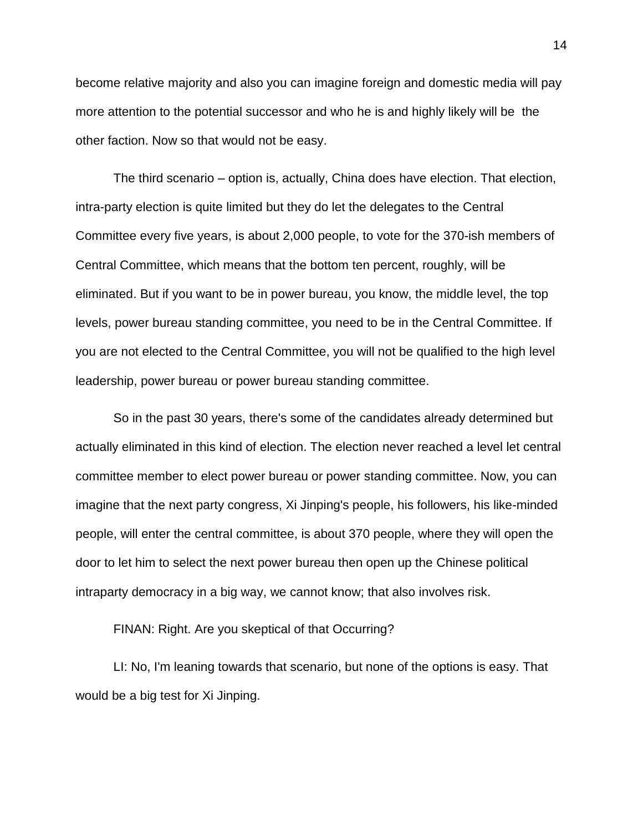become relative majority and also you can imagine foreign and domestic media will pay more attention to the potential successor and who he is and highly likely will be the other faction. Now so that would not be easy.

The third scenario – option is, actually, China does have election. That election, intra-party election is quite limited but they do let the delegates to the Central Committee every five years, is about 2,000 people, to vote for the 370-ish members of Central Committee, which means that the bottom ten percent, roughly, will be eliminated. But if you want to be in power bureau, you know, the middle level, the top levels, power bureau standing committee, you need to be in the Central Committee. If you are not elected to the Central Committee, you will not be qualified to the high level leadership, power bureau or power bureau standing committee.

So in the past 30 years, there's some of the candidates already determined but actually eliminated in this kind of election. The election never reached a level let central committee member to elect power bureau or power standing committee. Now, you can imagine that the next party congress, Xi Jinping's people, his followers, his like-minded people, will enter the central committee, is about 370 people, where they will open the door to let him to select the next power bureau then open up the Chinese political intraparty democracy in a big way, we cannot know; that also involves risk.

FINAN: Right. Are you skeptical of that Occurring?

LI: No, I'm leaning towards that scenario, but none of the options is easy. That would be a big test for Xi Jinping.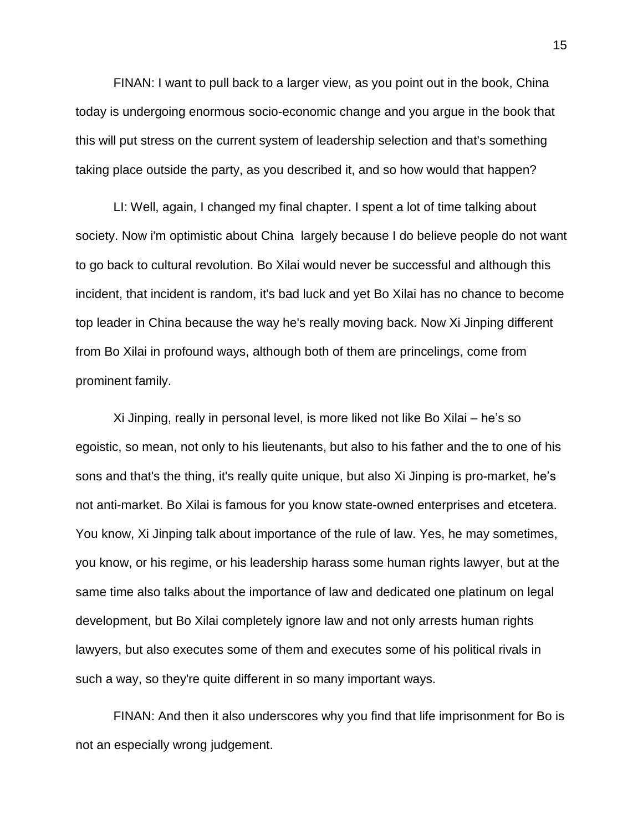FINAN: I want to pull back to a larger view, as you point out in the book, China today is undergoing enormous socio-economic change and you argue in the book that this will put stress on the current system of leadership selection and that's something taking place outside the party, as you described it, and so how would that happen?

LI: Well, again, I changed my final chapter. I spent a lot of time talking about society. Now i'm optimistic about China largely because I do believe people do not want to go back to cultural revolution. Bo Xilai would never be successful and although this incident, that incident is random, it's bad luck and yet Bo Xilai has no chance to become top leader in China because the way he's really moving back. Now Xi Jinping different from Bo Xilai in profound ways, although both of them are princelings, come from prominent family.

Xi Jinping, really in personal level, is more liked not like Bo Xilai – he's so egoistic, so mean, not only to his lieutenants, but also to his father and the to one of his sons and that's the thing, it's really quite unique, but also Xi Jinping is pro-market, he's not anti-market. Bo Xilai is famous for you know state-owned enterprises and etcetera. You know, Xi Jinping talk about importance of the rule of law. Yes, he may sometimes, you know, or his regime, or his leadership harass some human rights lawyer, but at the same time also talks about the importance of law and dedicated one platinum on legal development, but Bo Xilai completely ignore law and not only arrests human rights lawyers, but also executes some of them and executes some of his political rivals in such a way, so they're quite different in so many important ways.

FINAN: And then it also underscores why you find that life imprisonment for Bo is not an especially wrong judgement.

15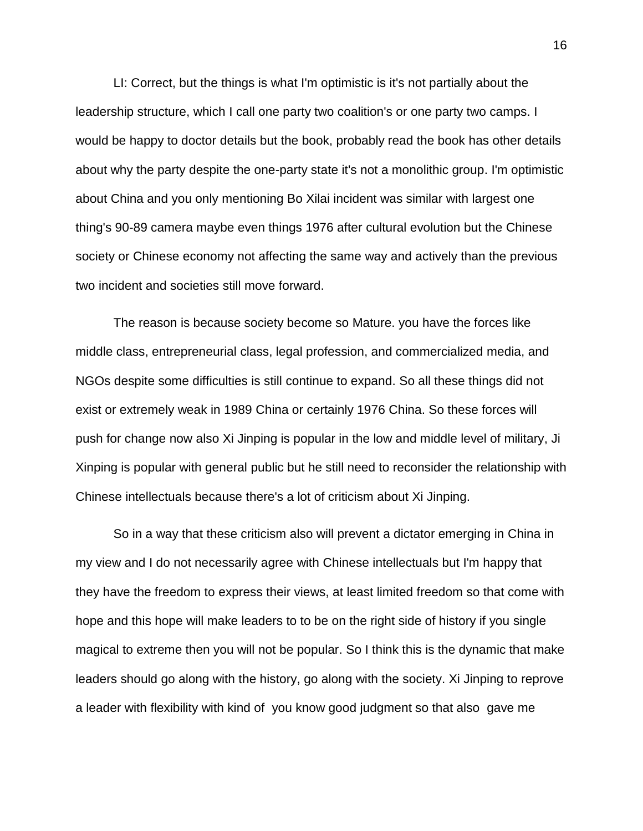LI: Correct, but the things is what I'm optimistic is it's not partially about the leadership structure, which I call one party two coalition's or one party two camps. I would be happy to doctor details but the book, probably read the book has other details about why the party despite the one-party state it's not a monolithic group. I'm optimistic about China and you only mentioning Bo Xilai incident was similar with largest one thing's 90-89 camera maybe even things 1976 after cultural evolution but the Chinese society or Chinese economy not affecting the same way and actively than the previous two incident and societies still move forward.

The reason is because society become so Mature. you have the forces like middle class, entrepreneurial class, legal profession, and commercialized media, and NGOs despite some difficulties is still continue to expand. So all these things did not exist or extremely weak in 1989 China or certainly 1976 China. So these forces will push for change now also Xi Jinping is popular in the low and middle level of military, Ji Xinping is popular with general public but he still need to reconsider the relationship with Chinese intellectuals because there's a lot of criticism about Xi Jinping.

So in a way that these criticism also will prevent a dictator emerging in China in my view and I do not necessarily agree with Chinese intellectuals but I'm happy that they have the freedom to express their views, at least limited freedom so that come with hope and this hope will make leaders to to be on the right side of history if you single magical to extreme then you will not be popular. So I think this is the dynamic that make leaders should go along with the history, go along with the society. Xi Jinping to reprove a leader with flexibility with kind of you know good judgment so that also gave me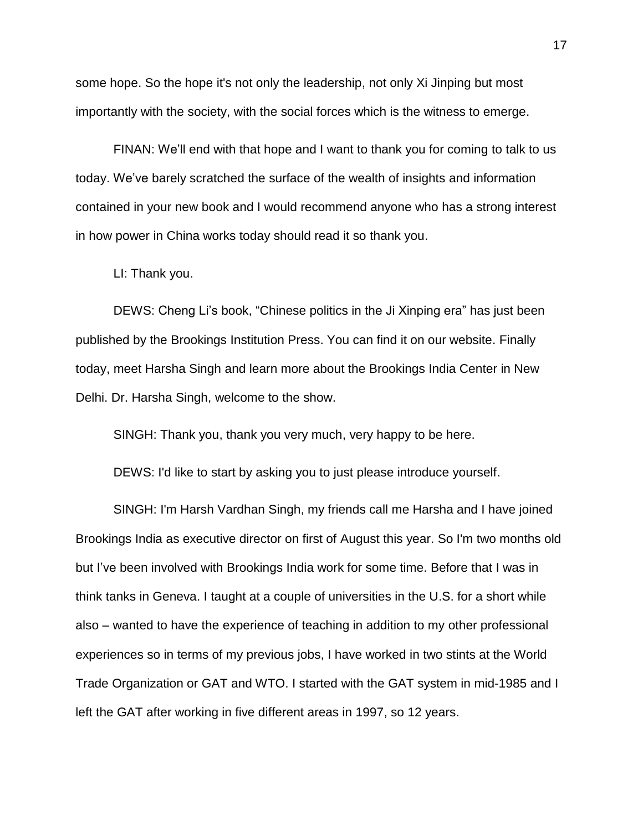some hope. So the hope it's not only the leadership, not only Xi Jinping but most importantly with the society, with the social forces which is the witness to emerge.

FINAN: We'll end with that hope and I want to thank you for coming to talk to us today. We've barely scratched the surface of the wealth of insights and information contained in your new book and I would recommend anyone who has a strong interest in how power in China works today should read it so thank you.

LI: Thank you.

DEWS: Cheng Li's book, "Chinese politics in the Ji Xinping era" has just been published by the Brookings Institution Press. You can find it on our website. Finally today, meet Harsha Singh and learn more about the Brookings India Center in New Delhi. Dr. Harsha Singh, welcome to the show.

SINGH: Thank you, thank you very much, very happy to be here.

DEWS: I'd like to start by asking you to just please introduce yourself.

SINGH: I'm Harsh Vardhan Singh, my friends call me Harsha and I have joined Brookings India as executive director on first of August this year. So I'm two months old but I've been involved with Brookings India work for some time. Before that I was in think tanks in Geneva. I taught at a couple of universities in the U.S. for a short while also – wanted to have the experience of teaching in addition to my other professional experiences so in terms of my previous jobs, I have worked in two stints at the World Trade Organization or GAT and WTO. I started with the GAT system in mid-1985 and I left the GAT after working in five different areas in 1997, so 12 years.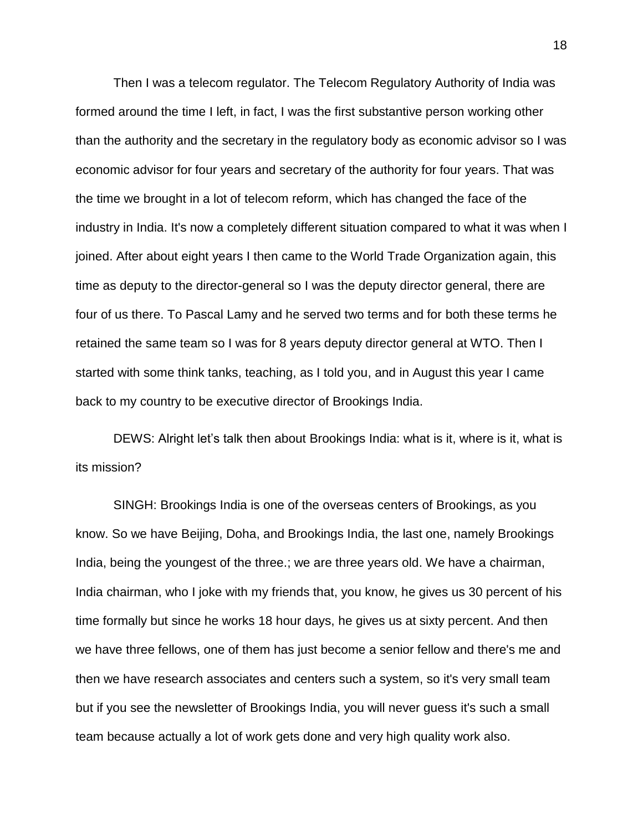Then I was a telecom regulator. The Telecom Regulatory Authority of India was formed around the time I left, in fact, I was the first substantive person working other than the authority and the secretary in the regulatory body as economic advisor so I was economic advisor for four years and secretary of the authority for four years. That was the time we brought in a lot of telecom reform, which has changed the face of the industry in India. It's now a completely different situation compared to what it was when I joined. After about eight years I then came to the World Trade Organization again, this time as deputy to the director-general so I was the deputy director general, there are four of us there. To Pascal Lamy and he served two terms and for both these terms he retained the same team so I was for 8 years deputy director general at WTO. Then I started with some think tanks, teaching, as I told you, and in August this year I came back to my country to be executive director of Brookings India.

DEWS: Alright let's talk then about Brookings India: what is it, where is it, what is its mission?

SINGH: Brookings India is one of the overseas centers of Brookings, as you know. So we have Beijing, Doha, and Brookings India, the last one, namely Brookings India, being the youngest of the three.; we are three years old. We have a chairman, India chairman, who I joke with my friends that, you know, he gives us 30 percent of his time formally but since he works 18 hour days, he gives us at sixty percent. And then we have three fellows, one of them has just become a senior fellow and there's me and then we have research associates and centers such a system, so it's very small team but if you see the newsletter of Brookings India, you will never guess it's such a small team because actually a lot of work gets done and very high quality work also.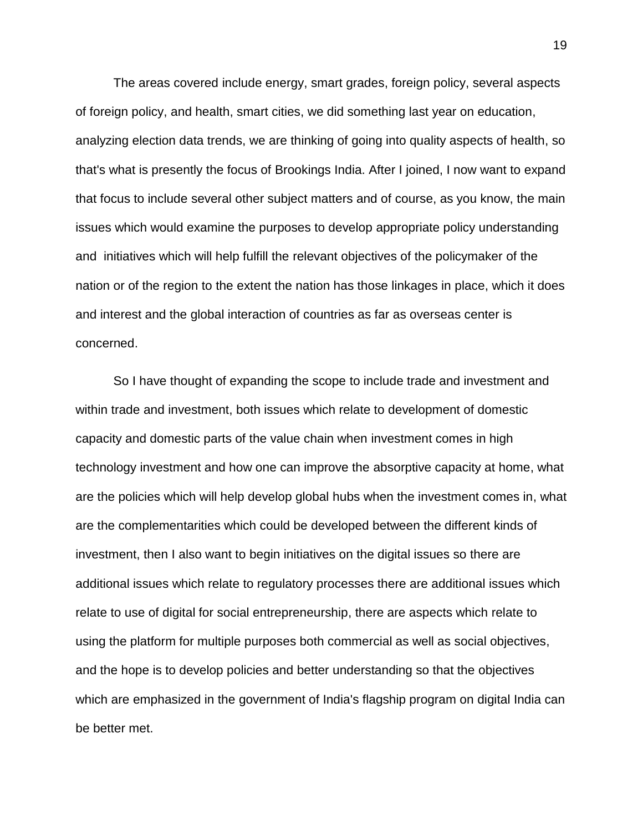The areas covered include energy, smart grades, foreign policy, several aspects of foreign policy, and health, smart cities, we did something last year on education, analyzing election data trends, we are thinking of going into quality aspects of health, so that's what is presently the focus of Brookings India. After I joined, I now want to expand that focus to include several other subject matters and of course, as you know, the main issues which would examine the purposes to develop appropriate policy understanding and initiatives which will help fulfill the relevant objectives of the policymaker of the nation or of the region to the extent the nation has those linkages in place, which it does and interest and the global interaction of countries as far as overseas center is concerned.

So I have thought of expanding the scope to include trade and investment and within trade and investment, both issues which relate to development of domestic capacity and domestic parts of the value chain when investment comes in high technology investment and how one can improve the absorptive capacity at home, what are the policies which will help develop global hubs when the investment comes in, what are the complementarities which could be developed between the different kinds of investment, then I also want to begin initiatives on the digital issues so there are additional issues which relate to regulatory processes there are additional issues which relate to use of digital for social entrepreneurship, there are aspects which relate to using the platform for multiple purposes both commercial as well as social objectives, and the hope is to develop policies and better understanding so that the objectives which are emphasized in the government of India's flagship program on digital India can be better met.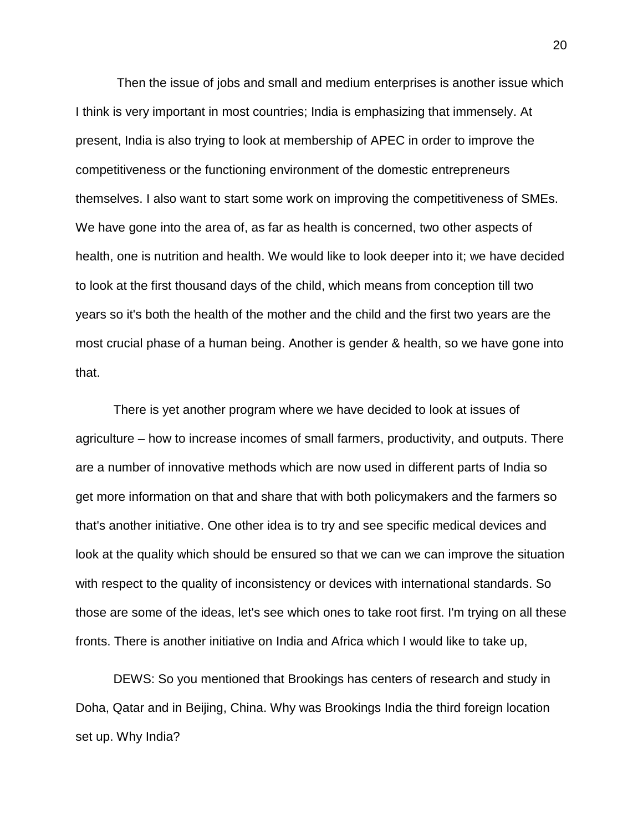Then the issue of jobs and small and medium enterprises is another issue which I think is very important in most countries; India is emphasizing that immensely. At present, India is also trying to look at membership of APEC in order to improve the competitiveness or the functioning environment of the domestic entrepreneurs themselves. I also want to start some work on improving the competitiveness of SMEs. We have gone into the area of, as far as health is concerned, two other aspects of health, one is nutrition and health. We would like to look deeper into it; we have decided to look at the first thousand days of the child, which means from conception till two years so it's both the health of the mother and the child and the first two years are the most crucial phase of a human being. Another is gender & health, so we have gone into that.

There is yet another program where we have decided to look at issues of agriculture – how to increase incomes of small farmers, productivity, and outputs. There are a number of innovative methods which are now used in different parts of India so get more information on that and share that with both policymakers and the farmers so that's another initiative. One other idea is to try and see specific medical devices and look at the quality which should be ensured so that we can we can improve the situation with respect to the quality of inconsistency or devices with international standards. So those are some of the ideas, let's see which ones to take root first. I'm trying on all these fronts. There is another initiative on India and Africa which I would like to take up,

DEWS: So you mentioned that Brookings has centers of research and study in Doha, Qatar and in Beijing, China. Why was Brookings India the third foreign location set up. Why India?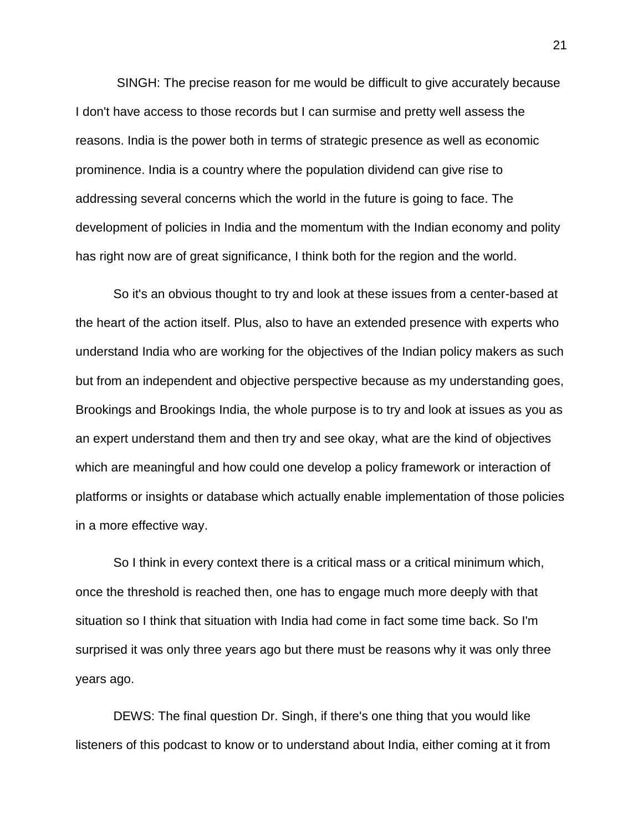SINGH: The precise reason for me would be difficult to give accurately because I don't have access to those records but I can surmise and pretty well assess the reasons. India is the power both in terms of strategic presence as well as economic prominence. India is a country where the population dividend can give rise to addressing several concerns which the world in the future is going to face. The development of policies in India and the momentum with the Indian economy and polity has right now are of great significance, I think both for the region and the world.

So it's an obvious thought to try and look at these issues from a center-based at the heart of the action itself. Plus, also to have an extended presence with experts who understand India who are working for the objectives of the Indian policy makers as such but from an independent and objective perspective because as my understanding goes, Brookings and Brookings India, the whole purpose is to try and look at issues as you as an expert understand them and then try and see okay, what are the kind of objectives which are meaningful and how could one develop a policy framework or interaction of platforms or insights or database which actually enable implementation of those policies in a more effective way.

So I think in every context there is a critical mass or a critical minimum which, once the threshold is reached then, one has to engage much more deeply with that situation so I think that situation with India had come in fact some time back. So I'm surprised it was only three years ago but there must be reasons why it was only three years ago.

DEWS: The final question Dr. Singh, if there's one thing that you would like listeners of this podcast to know or to understand about India, either coming at it from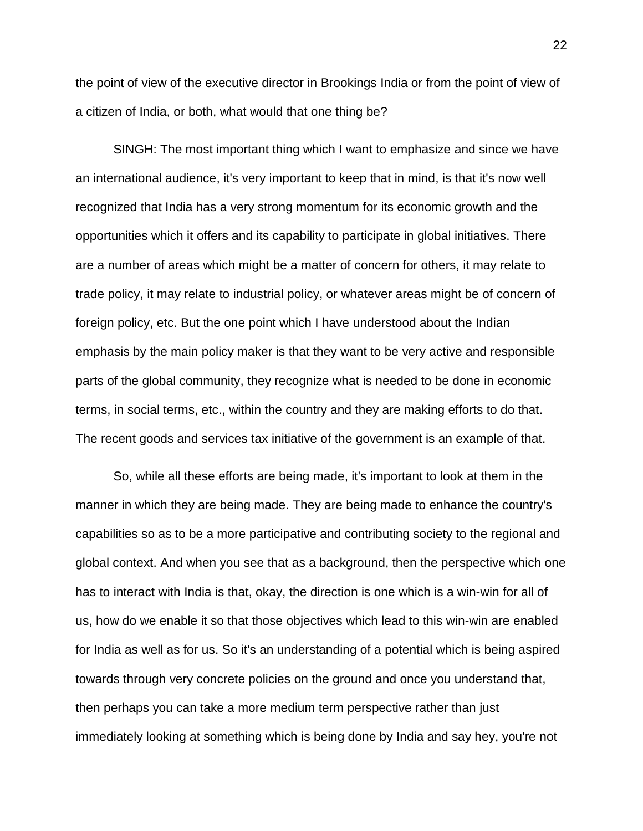the point of view of the executive director in Brookings India or from the point of view of a citizen of India, or both, what would that one thing be?

SINGH: The most important thing which I want to emphasize and since we have an international audience, it's very important to keep that in mind, is that it's now well recognized that India has a very strong momentum for its economic growth and the opportunities which it offers and its capability to participate in global initiatives. There are a number of areas which might be a matter of concern for others, it may relate to trade policy, it may relate to industrial policy, or whatever areas might be of concern of foreign policy, etc. But the one point which I have understood about the Indian emphasis by the main policy maker is that they want to be very active and responsible parts of the global community, they recognize what is needed to be done in economic terms, in social terms, etc., within the country and they are making efforts to do that. The recent goods and services tax initiative of the government is an example of that.

So, while all these efforts are being made, it's important to look at them in the manner in which they are being made. They are being made to enhance the country's capabilities so as to be a more participative and contributing society to the regional and global context. And when you see that as a background, then the perspective which one has to interact with India is that, okay, the direction is one which is a win-win for all of us, how do we enable it so that those objectives which lead to this win-win are enabled for India as well as for us. So it's an understanding of a potential which is being aspired towards through very concrete policies on the ground and once you understand that, then perhaps you can take a more medium term perspective rather than just immediately looking at something which is being done by India and say hey, you're not

22